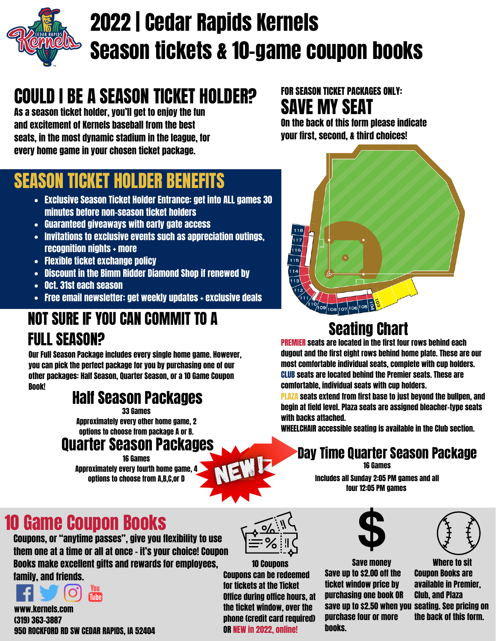

# 2022 | Cedar Rapids Kernels Season tickets & 10-game coupon books

# COULD I BE A SEASON TICKET HOLDER?

As a season ticket holder, you'll get to enjoy the fun and excitement of Kernels baseball from the best seats, in the most dynamic stadium in the league, for every home game in your chosen ticket package.

### SAVE MY SEAT FOR SEASON TICKET PACKAGES ONLY:

Ō

108 107 106 105 2

 $\overline{14}$ 

On the back of this form please indicate your first, second, & third choices!



- Exclusive Season Ticket Holder Entrance: get into ALL games 30 minutes before non-season ticket holders
- Guaranteed giveaways with early gate access
- Invitations to exclusive events such as appreciation outings, recognition nights + more
- Flexible ticket exchange policy
- Discount in the Bimm Ridder Diamond Shop if renewed by
- Oct. 31st each season
- Free email newsletter: get weekly updates + exclusive deals

# NOT SURE IF YOU CAN COMMIT TO A FULL SEASON?

Our Full Season Package includes every single home game. However, you can pick the perfect package for you by purchasing one of our other packages: Half Season, Quarter Season, or a 10 Game Coupon Book!

### Half Season Packages

Approximately every other home game, 2 options to choose from package A or B. 33 Games

## Quarter Season Packages

Approximately every fourth home game, 4 options to choose from A,B,C,or D 16 Games



# Seating Chart

PREMIER seats are located in the first four rows behind each dugout and the first eight rows behind home plate. These are our most comfortable individual seats, complete with cup holders. CLUB seats are located behind the Premier seats. These are comfortable, individual seats with cup holders.

PLAZA seats extend from first base to just beyond the bullpen, and begin at field level. Plaza seats are assigned bleacher-type seats with backs attached.

WHEELCHAIR accessible seating is available in the Club section.

# Day Time Quarter Season Package

16 Games

Includes all Sunday 2:05 PM games and all four 12:05 PM games

# 10 Game Coupon Books

Coupons, or "anytime passes", give you flexibility to use them one at a time or all at once - it's your choice! Coupon Books make excellent gifts and rewards for employees, family, and friends.



www.kernels.com (319) 363-3887 950 ROCKFORD RD SW CEDAR RAPIDS, IA 52404



10 Coupons Coupons can be redeemed for tickets at the Ticket Office during office hours, at the ticket window, over the phone (credit card required) OR NEW in 2022, online!



Save money Save up to \$2.00 off the ticket window price by purchasing one book OR save up to \$2.50 when you seating. See pricing on purchase four or more books.



Where to sit Coupon Books are available in Premier, Club, and Plaza the back of this form.